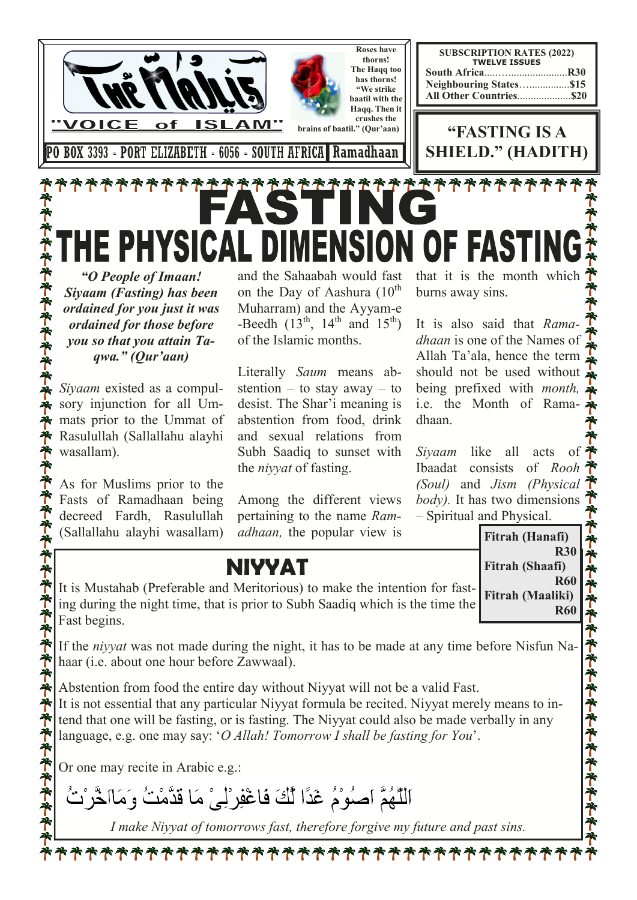

*ordained for you just it was ordained for those before you so that you attain Taqwa." (Qur'aan)* 

*Siyaam* existed as a compulsory injunction for all Ummats prior to the Ummat of Rasulullah (Sallallahu alayhi wasallam).

As for Muslims prior to the Fasts of Ramadhaan being decreed Fardh, Rasulullah (Sallallahu alayhi wasallam)

ポネネット ディオネーキャッチ

ポポポポポポ

Muharram) and the Ayyam-e -Beedh  $(13<sup>th</sup>, 14<sup>th</sup>$  and  $15<sup>th</sup>$ ) of the Islamic months.

Literally *Saum* means abstention – to stay away – to desist. The Shar'i meaning is abstention from food, drink and sexual relations from Subh Saadiq to sunset with the *niyyat* of fasting.

Among the different views pertaining to the name *Ramadhaan,* the popular view is

It is also said that *Ramadhaan* is one of the Names of Allah Ta'ala, hence the term should not be used without being prefixed with *month,*  i.e. the Month of Ramadhaan.

*Siyaam* like all acts of Ibaadat consists of *Rooh (Soul)* and *Jism (Physical body).* It has two dimensions – Spiritual and Physical.

**Fitrah (Hanafi)** 

**Fitrah (Shaafi)** 

**R30** 

**R60** 

**R60** 

ふうやうそうそうそうそうそうそう

**NIYYAT** 

It is Mustahab (Preferable and Meritorious) to make the intention for fasting during the night time, that is prior to Subh Saadiq which is the time the Fast begins. **Fitrah (Maaliki)** 

If the *niyyat* was not made during the night, it has to be made at any time before Nisfun Nahaar (i.e. about one hour before Zawwaal).

Abstention from food the entire day without Niyyat will not be a valid Fast. It is not essential that any particular Niyyat formula be recited. Niyyat merely means to intend that one will be fasting, or is fasting. The Niyyat could also be made verbally in any language, e.g. one may say: '*O Allah! Tomorrow I shall be fasting for You*'.

Or one may recite in Arabic e.g.:

اللَّهُمَّ اصلُوْمُ غَدًا لِّكَ فَاغْفِرْلِيْ مَا قَدَّمْتُ وَمَااخَّرْتُ

*I make Niyyat of tomorrows fast, therefore forgive my future and past sins.*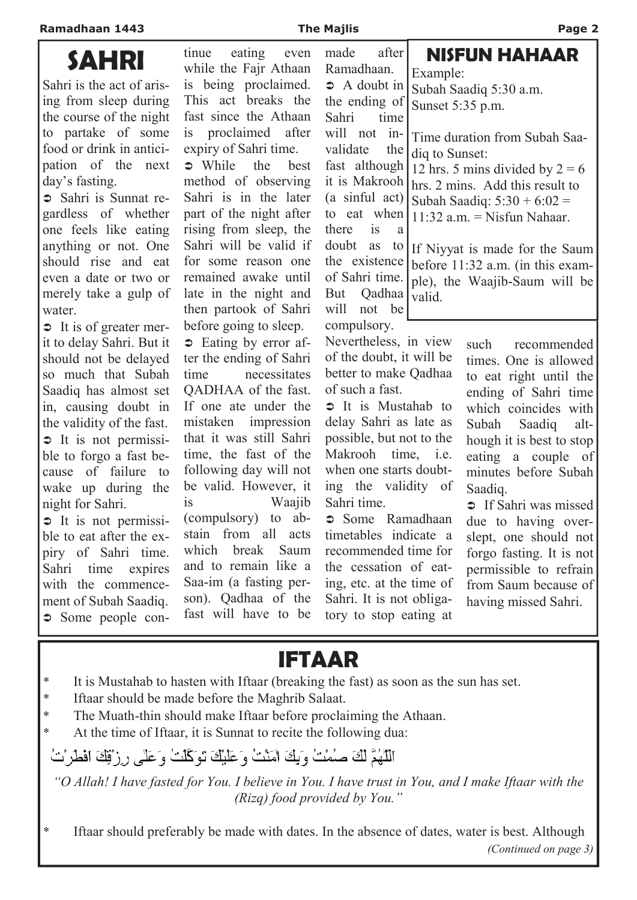water.

**Ramadhaan 1443 The Majlis Page 2 SAHRI**  Sahri is the act of arising from sleep during the course of the night to partake of some food or drink in anticipation of the next day's fasting. Sahri is Sunnat regardless of whether one feels like eating anything or not. One should rise and eat even a date or two or merely take a gulp of  $\Rightarrow$  It is of greater merit to delay Sahri. But it should not be delayed so much that Subah Saadiq has almost set in, causing doubt in the validity of the fast.  $\supset$  It is not permissible to forgo a fast because of failure to wake up during the night for Sahri.  $\Rightarrow$  It is not permissible to eat after the expiry of Sahri time. Sahri time expires with the commencement of Subah Saadiq. tinue eating even while the Fajr Athaan is being proclaimed. This act breaks the fast since the Athaan is proclaimed after expiry of Sahri time.  $\bullet$  While the best method of observing Sahri is in the later part of the night after rising from sleep, the Sahri will be valid if for some reason one remained awake until late in the night and then partook of Sahri before going to sleep.  $\Rightarrow$  Eating by error after the ending of Sahri time necessitates QADHAA of the fast. If one ate under the mistaken impression that it was still Sahri time, the fast of the following day will not be valid. However, it is Waajib (compulsory) to abstain from all acts which break Saum and to remain like a Saa-im (a fasting person). Qadhaa of the made after Ramadhaan.  $\Rightarrow$  A doubt in the ending of Sahri time will not invalidate the fast although it is Makrooh hrs. 2 mins. Add this result to (a sinful act) to eat when there is a doubt as to If Niyyat is made for the Saum the existence of Sahri time. But Qadhaa will not be compulsory. Nevertheless, in view of the doubt, it will be better to make Qadhaa of such a fast.  $\supset$  It is Mustahab to delay Sahri as late as possible, but not to the Makrooh time, i.e. when one starts doubting the validity of Sahri time. Some Ramadhaan timetables indicate a recommended time for the cessation of eating, etc. at the time of Sahri. It is not obligasuch recommended times. One is allowed to eat right until the ending of Sahri time which coincides with Subah Saadiq although it is best to stop eating a couple of minutes before Subah Saadiq. **If Sahri was missed** due to having overslept, one should not forgo fasting. It is not permissible to refrain from Saum because of having missed Sahri. **NISFUN HAHAAR**  Example: Subah Saadiq 5:30 a.m. Sunset 5:35 p.m. Time duration from Subah Saadiq to Sunset: 12 hrs. 5 mins divided by  $2 = 6$ Subah Saadiq:  $5:30 + 6:02 =$  $11:32$  a.m. = Nisfun Nahaar. before 11:32 a.m. (in this example), the Waajib-Saum will be valid.

## **IFTAAR**

tory to stop eating at

- \* It is Mustahab to hasten with Iftaar (breaking the fast) as soon as the sun has set.
- \* Iftaar should be made before the Maghrib Salaat.

Some people con-

\* The Muath-thin should make Iftaar before proclaiming the Athaan.

fast will have to be

\* At the time of Iftaar, it is Sunnat to recite the following dua:

اللَّهُمَّ لَكَ صِبْمْتُ وَبِكَ امْنْتُ وَعَلَيْكَ تَوَكَّلْتُ وَعَلَى رِزْقِكَ افْطَرْتُ

*"O Allah! I have fasted for You. I believe in You. I have trust in You, and I make Iftaar with the (Rizq) food provided by You."*

\* Iftaar should preferably be made with dates. In the absence of dates, water is best. Although *(Continued on page 3)*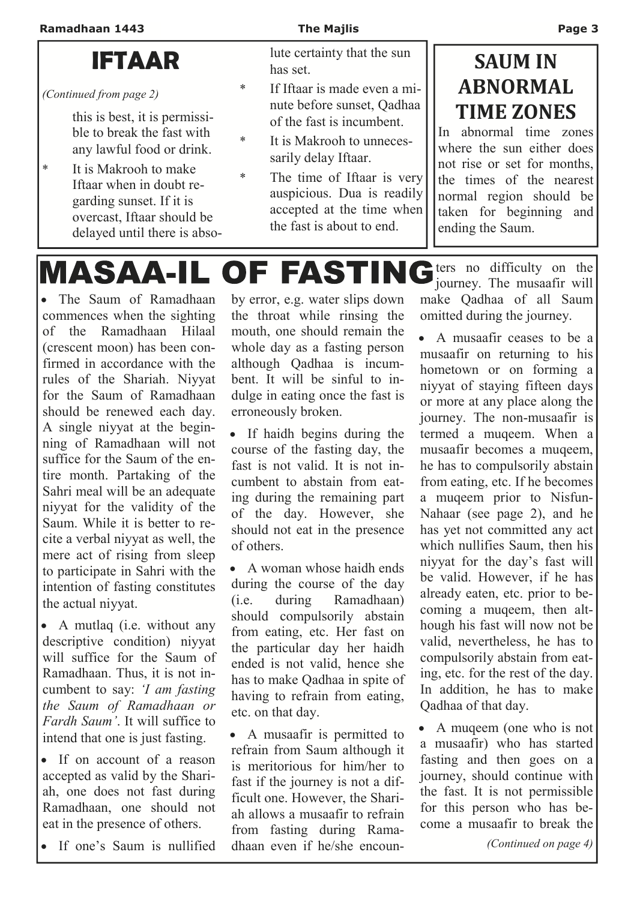### **IFTAAR**

*(Continued from page 2)* 

this is best, it is permissible to break the fast with any lawful food or drink.

\* It is Makrooh to make Iftaar when in doubt regarding sunset. If it is overcast, Iftaar should be delayed until there is absolute certainty that the sun has set.

- \* If Iftaar is made even a minute before sunset, Qadhaa of the fast is incumbent.
- It is Makrooh to unnecessarily delay Iftaar.
- \* The time of Iftaar is very auspicious. Dua is readily accepted at the time when the fast is about to end.

### **SAUM** IN **ABNORMAL TIME ZONES**

In abnormal time zones where the sun either does not rise or set for months, the times of the nearest normal region should be taken for beginning and ending the Saum.

**MASAA-IL OF FASTING** 

• The Saum of Ramadhaan commences when the sighting of the Ramadhaan Hilaal (crescent moon) has been confirmed in accordance with the rules of the Shariah. Niyyat for the Saum of Ramadhaan should be renewed each day. A single niyyat at the beginning of Ramadhaan will not suffice for the Saum of the entire month. Partaking of the Sahri meal will be an adequate niyyat for the validity of the Saum. While it is better to recite a verbal niyyat as well, the mere act of rising from sleep to participate in Sahri with the intention of fasting constitutes the actual niyyat.

• A mutlaq (i.e. without any descriptive condition) niyyat will suffice for the Saum of Ramadhaan. Thus, it is not incumbent to say: *'I am fasting the Saum of Ramadhaan or Fardh Saum'*. It will suffice to intend that one is just fasting.

• If on account of a reason accepted as valid by the Shariah, one does not fast during Ramadhaan, one should not eat in the presence of others.

• If one's Saum is nullified

by error, e.g. water slips down the throat while rinsing the mouth, one should remain the whole day as a fasting person although Qadhaa is incumbent. It will be sinful to indulge in eating once the fast is erroneously broken.

• If haidh begins during the course of the fasting day, the fast is not valid. It is not incumbent to abstain from eating during the remaining part of the day. However, she should not eat in the presence of others.

• A woman whose haidh ends during the course of the day (i.e. during Ramadhaan) should compulsorily abstain from eating, etc. Her fast on the particular day her haidh ended is not valid, hence she has to make Qadhaa in spite of having to refrain from eating, etc. on that day.

• A musaafir is permitted to refrain from Saum although it is meritorious for him/her to fast if the journey is not a difficult one. However, the Shariah allows a musaafir to refrain from fasting during Ramadhaan even if he/she encoun-

**ters** no difficulty on the journey. The musaafir will make Qadhaa of all Saum omitted during the journey.

• A musaafir ceases to be a musaafir on returning to his hometown or on forming a niyyat of staying fifteen days or more at any place along the journey. The non-musaafir is termed a muqeem. When a musaafir becomes a muqeem, he has to compulsorily abstain from eating, etc. If he becomes a muqeem prior to Nisfun-Nahaar (see page 2), and he has yet not committed any act which nullifies Saum, then his niyyat for the day's fast will be valid. However, if he has already eaten, etc. prior to becoming a muqeem, then although his fast will now not be valid, nevertheless, he has to compulsorily abstain from eating, etc. for the rest of the day. In addition, he has to make Qadhaa of that day.

• A muqeem (one who is not a musaafir) who has started fasting and then goes on a journey, should continue with the fast. It is not permissible for this person who has become a musaafir to break the

*(Continued on page 4)*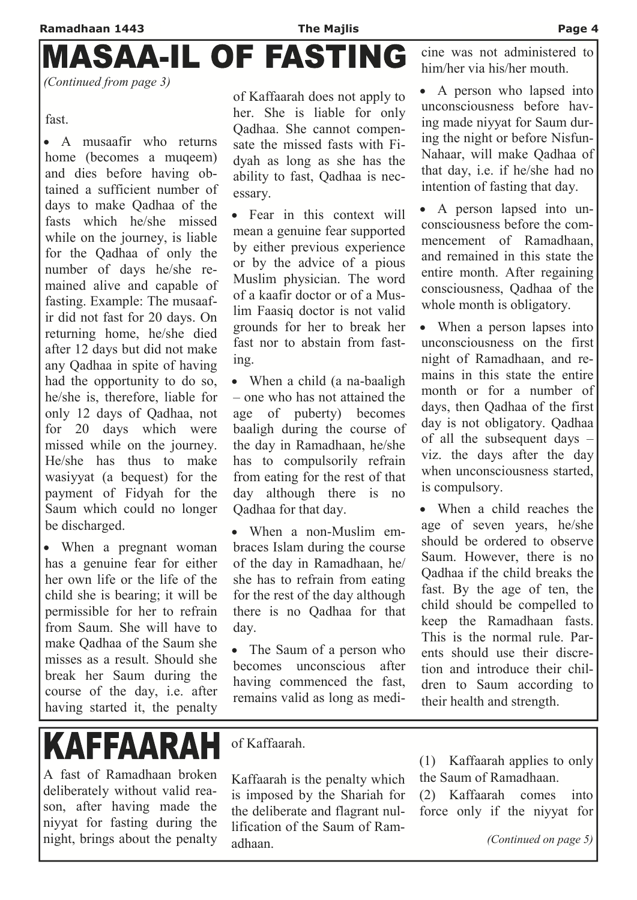# **MASAA-IL OF FASTING**

*(Continued from page 3)* 

fast.

• A musaafir who returns home (becomes a muqeem) and dies before having obtained a sufficient number of days to make Qadhaa of the fasts which he/she missed while on the journey, is liable for the Qadhaa of only the number of days he/she remained alive and capable of fasting. Example: The musaafir did not fast for 20 days. On returning home, he/she died after 12 days but did not make any Qadhaa in spite of having had the opportunity to do so, he/she is, therefore, liable for only 12 days of Qadhaa, not for 20 days which were missed while on the journey. He/she has thus to make wasiyyat (a bequest) for the payment of Fidyah for the Saum which could no longer be discharged.

• When a pregnant woman has a genuine fear for either her own life or the life of the child she is bearing; it will be permissible for her to refrain from Saum. She will have to make Qadhaa of the Saum she misses as a result. Should she break her Saum during the course of the day, i.e. after having started it, the penalty

**KAFFAARAH** 

A fast of Ramadhaan broken deliberately without valid reason, after having made the niyyat for fasting during the night, brings about the penalty

of Kaffaarah does not apply to her. She is liable for only Qadhaa. She cannot compensate the missed fasts with Fidyah as long as she has the ability to fast, Qadhaa is necessary.

• Fear in this context will mean a genuine fear supported by either previous experience or by the advice of a pious Muslim physician. The word of a kaafir doctor or of a Muslim Faasiq doctor is not valid grounds for her to break her fast nor to abstain from fasting.

• When a child (a na-baaligh – one who has not attained the age of puberty) becomes baaligh during the course of the day in Ramadhaan, he/she has to compulsorily refrain from eating for the rest of that day although there is no Qadhaa for that day.

• When a non-Muslim embraces Islam during the course of the day in Ramadhaan, he/ she has to refrain from eating for the rest of the day although there is no Qadhaa for that day.

• The Saum of a person who becomes unconscious after having commenced the fast, remains valid as long as medicine was not administered to him/her via his/her mouth.

• A person who lapsed into unconsciousness before having made niyyat for Saum during the night or before Nisfun-Nahaar, will make Qadhaa of that day, i.e. if he/she had no intention of fasting that day.

• A person lapsed into unconsciousness before the commencement of Ramadhaan, and remained in this state the entire month. After regaining consciousness, Qadhaa of the whole month is obligatory.

• When a person lapses into unconsciousness on the first night of Ramadhaan, and remains in this state the entire month or for a number of days, then Qadhaa of the first day is not obligatory. Qadhaa of all the subsequent days – viz. the days after the day when unconsciousness started, is compulsory.

• When a child reaches the age of seven years, he/she should be ordered to observe Saum. However, there is no Qadhaa if the child breaks the fast. By the age of ten, the child should be compelled to keep the Ramadhaan fasts. This is the normal rule. Parents should use their discretion and introduce their children to Saum according to their health and strength.

of Kaffaarah.

Kaffaarah is the penalty which is imposed by the Shariah for the deliberate and flagrant nullification of the Saum of Ramadhaan.

(1) Kaffaarah applies to only the Saum of Ramadhaan.

(2) Kaffaarah comes into force only if the niyyat for

*(Continued on page 5)*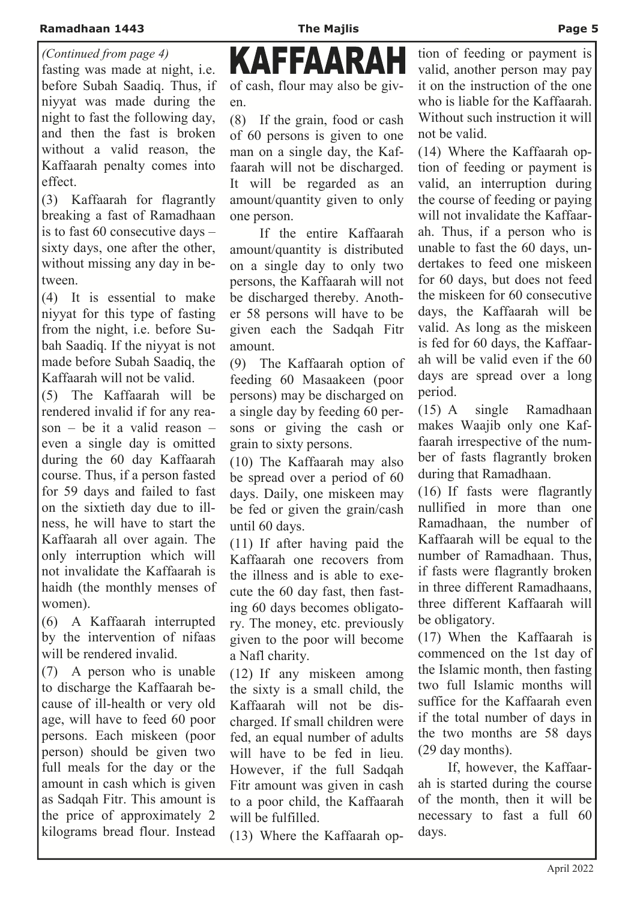fasting was made at night, i.e. before Subah Saadiq. Thus, if niyyat was made during the night to fast the following day, and then the fast is broken without a valid reason, the Kaffaarah penalty comes into effect. *(Continued from page 4)* 

(3) Kaffaarah for flagrantly breaking a fast of Ramadhaan is to fast 60 consecutive days – sixty days, one after the other, without missing any day in between.

(4) It is essential to make niyyat for this type of fasting from the night, i.e. before Subah Saadiq. If the niyyat is not made before Subah Saadiq, the Kaffaarah will not be valid.

(5) The Kaffaarah will be rendered invalid if for any reason – be it a valid reason – even a single day is omitted during the 60 day Kaffaarah course. Thus, if a person fasted for 59 days and failed to fast on the sixtieth day due to illness, he will have to start the Kaffaarah all over again. The only interruption which will not invalidate the Kaffaarah is haidh (the monthly menses of women).

(6) A Kaffaarah interrupted by the intervention of nifaas will be rendered invalid.

(7) A person who is unable to discharge the Kaffaarah because of ill-health or very old age, will have to feed 60 poor persons. Each miskeen (poor person) should be given two full meals for the day or the amount in cash which is given as Sadqah Fitr. This amount is the price of approximately 2 kilograms bread flour. Instead

KAFFAARAI of cash, flour may also be given.

(8) If the grain, food or cash of 60 persons is given to one man on a single day, the Kaffaarah will not be discharged. It will be regarded as an amount/quantity given to only one person.

 If the entire Kaffaarah amount/quantity is distributed on a single day to only two persons, the Kaffaarah will not be discharged thereby. Another 58 persons will have to be given each the Sadqah Fitr amount.

(9) The Kaffaarah option of feeding 60 Masaakeen (poor persons) may be discharged on a single day by feeding 60 persons or giving the cash or grain to sixty persons.

(10) The Kaffaarah may also be spread over a period of 60 days. Daily, one miskeen may be fed or given the grain/cash until 60 days.

(11) If after having paid the Kaffaarah one recovers from the illness and is able to execute the 60 day fast, then fasting 60 days becomes obligatory. The money, etc. previously given to the poor will become a Nafl charity.

(12) If any miskeen among the sixty is a small child, the Kaffaarah will not be discharged. If small children were fed, an equal number of adults will have to be fed in lieu. However, if the full Sadqah Fitr amount was given in cash to a poor child, the Kaffaarah will be fulfilled.

(13) Where the Kaffaarah op-

tion of feeding or payment is valid, another person may pay it on the instruction of the one who is liable for the Kaffaarah. Without such instruction it will not be valid.

(14) Where the Kaffaarah option of feeding or payment is valid, an interruption during the course of feeding or paying will not invalidate the Kaffaarah. Thus, if a person who is unable to fast the 60 days, undertakes to feed one miskeen for 60 days, but does not feed the miskeen for 60 consecutive days, the Kaffaarah will be valid. As long as the miskeen is fed for 60 days, the Kaffaarah will be valid even if the 60 days are spread over a long period.

(15) A single Ramadhaan makes Waajib only one Kaffaarah irrespective of the number of fasts flagrantly broken during that Ramadhaan.

(16) If fasts were flagrantly nullified in more than one Ramadhaan, the number of Kaffaarah will be equal to the number of Ramadhaan. Thus, if fasts were flagrantly broken in three different Ramadhaans, three different Kaffaarah will be obligatory.

(17) When the Kaffaarah is commenced on the 1st day of the Islamic month, then fasting two full Islamic months will suffice for the Kaffaarah even if the total number of days in the two months are 58 days (29 day months).

 If, however, the Kaffaarah is started during the course of the month, then it will be necessary to fast a full 60 days.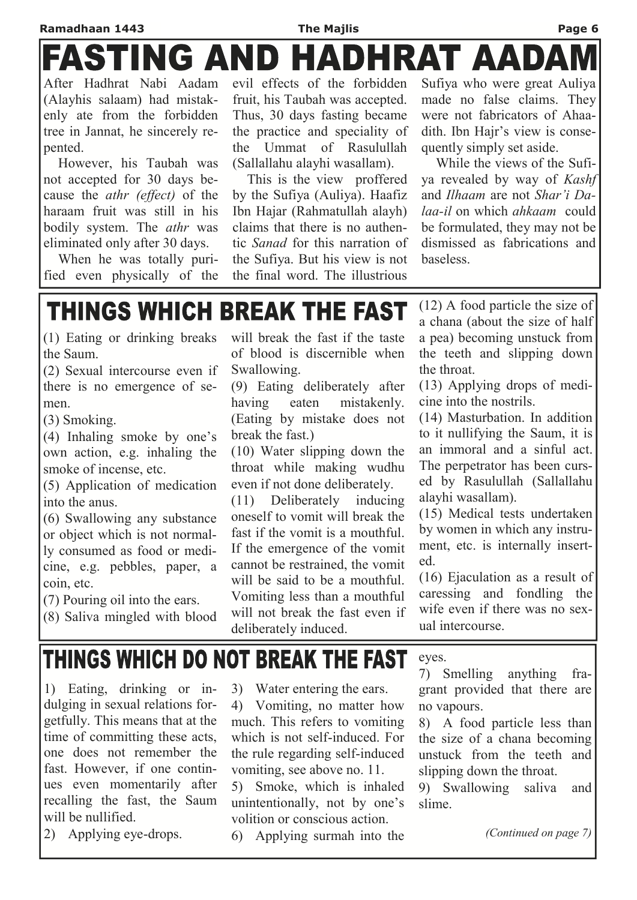### **Ramadhaan 1443 The Majlis Page 6**  ASTING AND DHRAT AADA

After Hadhrat Nabi Aadam (Alayhis salaam) had mistakenly ate from the forbidden tree in Jannat, he sincerely repented.

 However, his Taubah was not accepted for 30 days because the *athr (effect)* of the haraam fruit was still in his bodily system. The *athr* was eliminated only after 30 days.

 When he was totally purified even physically of the

evil effects of the forbidden fruit, his Taubah was accepted. Thus, 30 days fasting became the practice and speciality of the Ummat of Rasulullah (Sallallahu alayhi wasallam).

 This is the view proffered by the Sufiya (Auliya). Haafiz Ibn Hajar (Rahmatullah alayh) claims that there is no authentic *Sanad* for this narration of the Sufiya. But his view is not the final word. The illustrious

Sufiya who were great Auliya made no false claims. They were not fabricators of Ahaadith. Ibn Hajr's view is consequently simply set aside.

 While the views of the Sufiya revealed by way of *Kashf*  and *Ilhaam* are not *Shar'i Dalaa-il* on which *ahkaam* could be formulated, they may not be dismissed as fabrications and baseless.

## **THINGS WHICH BREAK THE FAST**

(1) Eating or drinking breaks the Saum.

(2) Sexual intercourse even if there is no emergence of semen.

(3) Smoking.

(4) Inhaling smoke by one's own action, e.g. inhaling the smoke of incense, etc.

(5) Application of medication into the anus.

(6) Swallowing any substance or object which is not normally consumed as food or medicine, e.g. pebbles, paper, a coin, etc.

(7) Pouring oil into the ears.

(8) Saliva mingled with blood

will break the fast if the taste of blood is discernible when Swallowing.

(9) Eating deliberately after having eaten mistakenly. (Eating by mistake does not break the fast.)

(10) Water slipping down the throat while making wudhu even if not done deliberately.

(11) Deliberately inducing oneself to vomit will break the fast if the vomit is a mouthful. If the emergence of the vomit cannot be restrained, the vomit will be said to be a mouthful. Vomiting less than a mouthful will not break the fast even if deliberately induced.

(12) A food particle the size of a chana (about the size of half a pea) becoming unstuck from the teeth and slipping down the throat.

(13) Applying drops of medicine into the nostrils.

(14) Masturbation. In addition to it nullifying the Saum, it is an immoral and a sinful act. The perpetrator has been cursed by Rasulullah (Sallallahu alayhi wasallam).

(15) Medical tests undertaken by women in which any instrument, etc. is internally inserted.

(16) Ejaculation as a result of caressing and fondling the wife even if there was no sexual intercourse.

## THINGS WHICH DO NOT BREAK THE FAST

1) Eating, drinking or indulging in sexual relations forgetfully. This means that at the time of committing these acts, one does not remember the fast. However, if one continues even momentarily after recalling the fast, the Saum will be nullified.

2) Applying eye-drops.

3) Water entering the ears.

4) Vomiting, no matter how much. This refers to vomiting which is not self-induced. For the rule regarding self-induced vomiting, see above no. 11.

5) Smoke, which is inhaled unintentionally, not by one's volition or conscious action.

6) Applying surmah into the

eyes.

7) Smelling anything fragrant provided that there are no vapours.

8) A food particle less than the size of a chana becoming unstuck from the teeth and slipping down the throat.

9) Swallowing saliva and slime.

*(Continued on page 7)*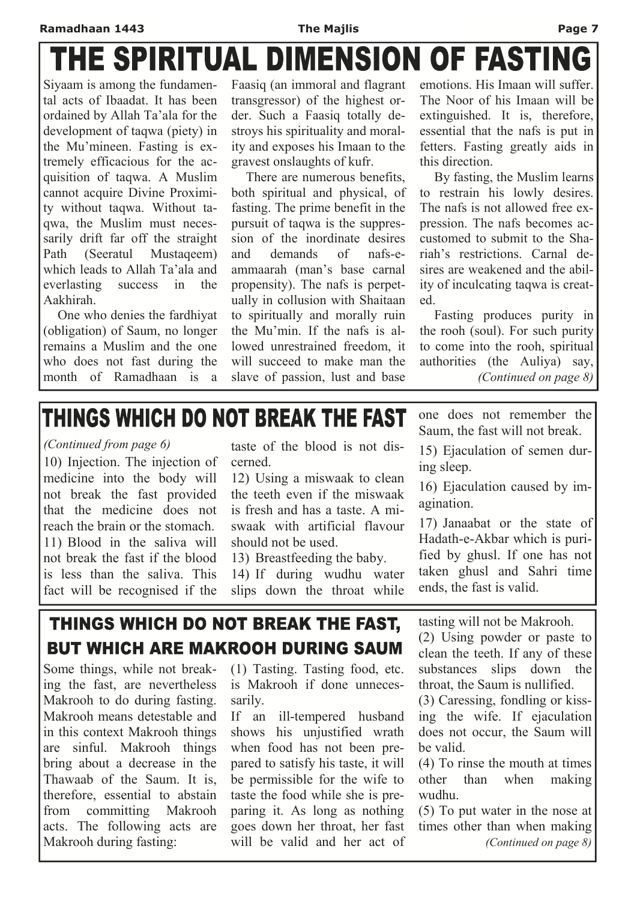#### **Ramadhaan 1443 The Majlis Page 7**

# THE SPIRITUAL DIMENSION OF FASTING

Siyaam is among the fundamental acts of Ibaadat. It has been ordained by Allah Ta'ala for the development of taqwa (piety) in the Mu'mineen. Fasting is extremely efficacious for the acquisition of taqwa. A Muslim cannot acquire Divine Proximity without taqwa. Without taqwa, the Muslim must necessarily drift far off the straight Path (Seeratul Mustaqeem) which leads to Allah Ta'ala and everlasting success in the Aakhirah.

 One who denies the fardhiyat (obligation) of Saum, no longer remains a Muslim and the one who does not fast during the month of Ramadhaan is a Faasiq (an immoral and flagrant transgressor) of the highest order. Such a Faasiq totally destroys his spirituality and morality and exposes his Imaan to the gravest onslaughts of kufr.

There are numerous benefits both spiritual and physical, of fasting. The prime benefit in the pursuit of taqwa is the suppression of the inordinate desires and demands of nafs-eammaarah (man's base carnal propensity). The nafs is perpetually in collusion with Shaitaan to spiritually and morally ruin the Mu'min. If the nafs is allowed unrestrained freedom it will succeed to make man the slave of passion, lust and base

emotions. His Imaan will suffer. The Noor of his Imaan will be extinguished. It is, therefore, essential that the nafs is put in fetters. Fasting greatly aids in this direction.

 By fasting, the Muslim learns to restrain his lowly desires. The nafs is not allowed free expression. The nafs becomes accustomed to submit to the Shariah's restrictions. Carnal desires are weakened and the ability of inculcating taqwa is created.

 Fasting produces purity in the rooh (soul). For such purity to come into the rooh, spiritual authorities (the Auliya) say, *(Continued on page 8)* 

## THINGS WHICH DO NOT BREAK THE FAST

*(Continued from page 6)* 

10) Injection. The injection of medicine into the body will not break the fast provided that the medicine does not reach the brain or the stomach. 11) Blood in the saliva will not break the fast if the blood is less than the saliva. This fact will be recognised if the

taste of the blood is not discerned.

12) Using a miswaak to clean the teeth even if the miswaak is fresh and has a taste. A miswaak with artificial flavour should not be used.

13) Breastfeeding the baby.

14) If during wudhu water slips down the throat while one does not remember the Saum, the fast will not break.

15) Ejaculation of semen during sleep.

16) Ejaculation caused by imagination.

17) Janaabat or the state of Hadath-e-Akbar which is purified by ghusl. If one has not taken ghusl and Sahri time ends, the fast is valid.

### THINGS WHICH DO NOT BREAK THE FAST, **BUT WHICH ARE MAKROOH DURING SAUM**

Some things, while not breaking the fast, are nevertheless Makrooh to do during fasting. Makrooh means detestable and in this context Makrooh things are sinful. Makrooh things bring about a decrease in the Thawaab of the Saum. It is, therefore, essential to abstain from committing Makrooh acts. The following acts are Makrooh during fasting:

(1) Tasting. Tasting food, etc. is Makrooh if done unnecessarily.

If an ill-tempered husband shows his unjustified wrath when food has not been prepared to satisfy his taste, it will be permissible for the wife to taste the food while she is preparing it. As long as nothing goes down her throat, her fast will be valid and her act of

tasting will not be Makrooh.

(2) Using powder or paste to clean the teeth. If any of these substances slips down the throat, the Saum is nullified.

(3) Caressing, fondling or kissing the wife. If ejaculation does not occur, the Saum will be valid.

(4) To rinse the mouth at times other than when making wudhu.

(5) To put water in the nose at times other than when making *(Continued on page 8)*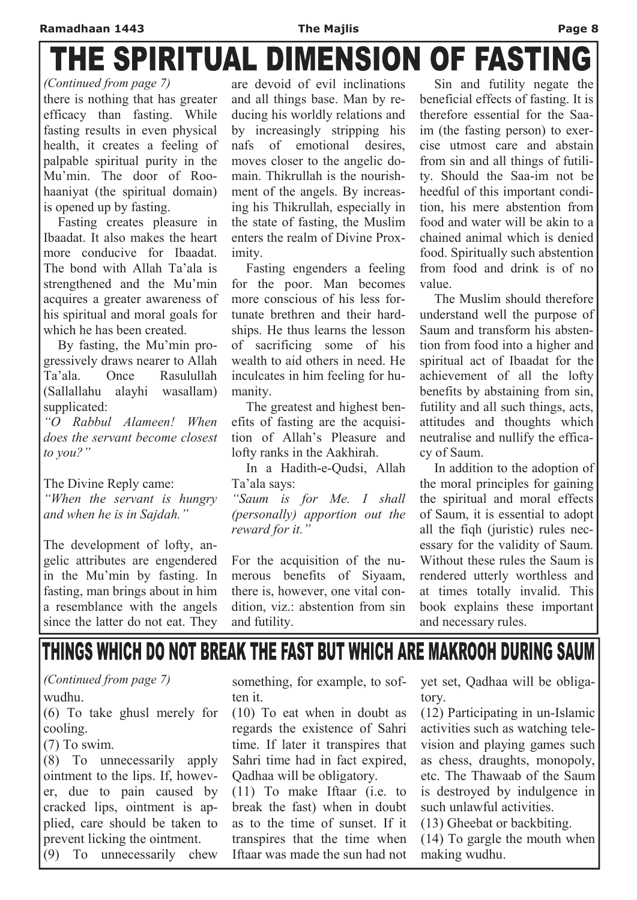# THE SPIRITUAL DIMENSION OF FASTING

*(Continued from page 7)* 

there is nothing that has greater efficacy than fasting. While fasting results in even physical health, it creates a feeling of palpable spiritual purity in the Mu'min. The door of Roohaaniyat (the spiritual domain) is opened up by fasting.

 Fasting creates pleasure in Ibaadat. It also makes the heart more conducive for Ibaadat The bond with Allah Ta'ala is strengthened and the Mu'min acquires a greater awareness of his spiritual and moral goals for which he has been created.

 By fasting, the Mu'min progressively draws nearer to Allah Ta'ala. Once Rasulullah (Sallallahu alayhi wasallam) supplicated:

*"O Rabbul Alameen! When does the servant become closest to you?"* 

The Divine Reply came:

*"When the servant is hungry and when he is in Sajdah."* 

The development of lofty, angelic attributes are engendered in the Mu'min by fasting. In fasting, man brings about in him a resemblance with the angels since the latter do not eat. They

are devoid of evil inclinations and all things base. Man by reducing his worldly relations and by increasingly stripping his nafs of emotional desires, moves closer to the angelic domain. Thikrullah is the nourishment of the angels. By increasing his Thikrullah, especially in the state of fasting, the Muslim enters the realm of Divine Proximity.

 Fasting engenders a feeling for the poor. Man becomes more conscious of his less fortunate brethren and their hardships. He thus learns the lesson of sacrificing some of his wealth to aid others in need. He inculcates in him feeling for humanity.

 The greatest and highest benefits of fasting are the acquisition of Allah's Pleasure and lofty ranks in the Aakhirah.

 In a Hadith-e-Qudsi, Allah Ta'ala says:

*"Saum is for Me. I shall (personally) apportion out the reward for it."* 

For the acquisition of the numerous benefits of Siyaam, there is, however, one vital condition, viz.: abstention from sin and futility.

 Sin and futility negate the beneficial effects of fasting. It is therefore essential for the Saaim (the fasting person) to exercise utmost care and abstain from sin and all things of futility. Should the Saa-im not be heedful of this important condition, his mere abstention from food and water will be akin to a chained animal which is denied food. Spiritually such abstention from food and drink is of no value.

 The Muslim should therefore understand well the purpose of Saum and transform his abstention from food into a higher and spiritual act of Ibaadat for the achievement of all the lofty benefits by abstaining from sin, futility and all such things, acts, attitudes and thoughts which neutralise and nullify the efficacy of Saum.

 In addition to the adoption of the moral principles for gaining the spiritual and moral effects of Saum, it is essential to adopt all the fiqh (juristic) rules necessary for the validity of Saum. Without these rules the Saum is rendered utterly worthless and at times totally invalid. This book explains these important and necessary rules.

## THINGS WHICH DO NOT BREAK THE FAST BUT WHICH ARE MAKROOH DURING SAUM

### *(Continued from page 7)*

#### wudhu.

(6) To take ghusl merely for cooling.

#### (7) To swim.

(8) To unnecessarily apply ointment to the lips. If, however, due to pain caused by cracked lips, ointment is applied, care should be taken to prevent licking the ointment.

(9) To unnecessarily chew

something, for example, to soften it.

(10) To eat when in doubt as regards the existence of Sahri time. If later it transpires that Sahri time had in fact expired, Qadhaa will be obligatory.

(11) To make Iftaar (i.e. to break the fast) when in doubt as to the time of sunset. If it transpires that the time when Iftaar was made the sun had not

yet set, Qadhaa will be obligatory.

(12) Participating in un-Islamic activities such as watching television and playing games such as chess, draughts, monopoly, etc. The Thawaab of the Saum is destroyed by indulgence in such unlawful activities.

(13) Gheebat or backbiting. (14) To gargle the mouth when making wudhu.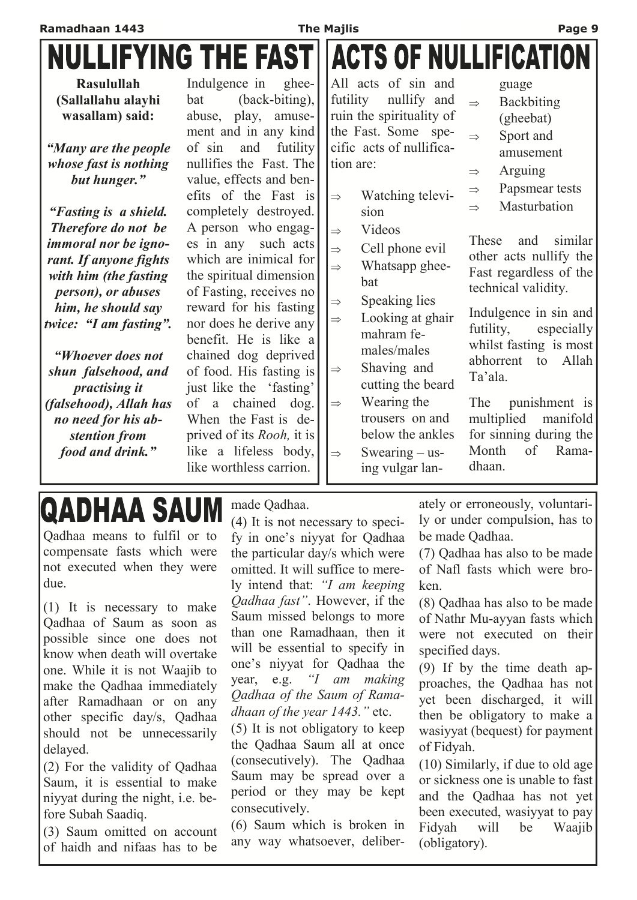|                                                                                                                                                                                                                                                                                                                                                                                                                                                                                                       |                                                                                                                                                                                                                                                                                                                                                                                                                                                                                                                                                                                                                                                                           | <b>The Majlis</b>                                                                                                                                                                                                                                                                                                                                                                                                                                                                                                                                                                        | Page 9                                                                                                                                                                                                                                                                                                                                                                                                                                                                                                                                       |
|-------------------------------------------------------------------------------------------------------------------------------------------------------------------------------------------------------------------------------------------------------------------------------------------------------------------------------------------------------------------------------------------------------------------------------------------------------------------------------------------------------|---------------------------------------------------------------------------------------------------------------------------------------------------------------------------------------------------------------------------------------------------------------------------------------------------------------------------------------------------------------------------------------------------------------------------------------------------------------------------------------------------------------------------------------------------------------------------------------------------------------------------------------------------------------------------|------------------------------------------------------------------------------------------------------------------------------------------------------------------------------------------------------------------------------------------------------------------------------------------------------------------------------------------------------------------------------------------------------------------------------------------------------------------------------------------------------------------------------------------------------------------------------------------|----------------------------------------------------------------------------------------------------------------------------------------------------------------------------------------------------------------------------------------------------------------------------------------------------------------------------------------------------------------------------------------------------------------------------------------------------------------------------------------------------------------------------------------------|
| <b>NULLIFYING THE FAST ACTS OF NULLIFICATION</b>                                                                                                                                                                                                                                                                                                                                                                                                                                                      |                                                                                                                                                                                                                                                                                                                                                                                                                                                                                                                                                                                                                                                                           |                                                                                                                                                                                                                                                                                                                                                                                                                                                                                                                                                                                          |                                                                                                                                                                                                                                                                                                                                                                                                                                                                                                                                              |
| <b>Rasulullah</b><br>(Sallallahu alayhi<br>wasallam) said:<br>"Many are the people"<br>whose fast is nothing<br>but hunger."<br>"Fasting is a shield.<br>Therefore do not be<br><i>immoral nor be igno-</i><br>rant. If anyone fights<br>with him (the fasting<br><i>person), or abuses</i><br>him, he should say<br>twice: "I am fasting".<br>"Whoever does not<br>shun falsehood, and<br><i>practising it</i><br>(falsehood), Allah has<br>no need for his ab-<br>stention from<br>food and drink." | Indulgence in<br>ghee-<br>(back-biting),<br>bat<br>abuse, play, amuse-<br>ment and in any kind<br>of sin<br>and<br>futility<br>nullifies the Fast. The<br>value, effects and ben-<br>efits of the Fast is<br>completely destroyed.<br>A person who engag-<br>such acts<br>es in any<br>which are inimical for<br>the spiritual dimension<br>of Fasting, receives no<br>reward for his fasting<br>nor does he derive any<br>benefit. He is like a<br>chained dog deprived<br>of food. His fasting is<br>just like the 'fasting'<br>chained<br>$\log$ .<br>of<br>a<br>When the Fast is de-<br>prived of its Rooh, it is<br>like a lifeless body,<br>like worthless carrion. | All acts of sin and<br>futility<br>nullify and<br>ruin the spirituality of<br>the Fast. Some spe-<br>cific acts of nullifica-<br>tion are:<br>Watching televi-<br>$\Rightarrow$<br>sion<br>Videos<br>$\Rightarrow$<br>Cell phone evil<br>$\Rightarrow$<br>Whatsapp ghee-<br>$\Rightarrow$<br>bat<br>Speaking lies<br>$\Rightarrow$<br>Looking at ghair<br>$\Rightarrow$<br>mahram fe-<br>males/males<br>Shaving and<br>$\Rightarrow$<br>cutting the beard<br>Wearing the<br>$\Rightarrow$<br>trousers on and<br>below the ankles<br>Swearing $-$ us-<br>$\Rightarrow$<br>ing vulgar lan- | guage<br><b>Backbiting</b><br>$\Rightarrow$<br>(gheebat)<br>Sport and<br>$\Rightarrow$<br>amusement<br>Arguing<br>$\Rightarrow$<br>Papsmear tests<br>$\Rightarrow$<br>Masturbation<br>$\Rightarrow$<br>These<br>similar<br>and<br>other acts nullify the<br>Fast regardless of the<br>technical validity.<br>Indulgence in sin and<br>futility,<br>especially<br>whilst fasting is most<br>abhorrent<br>to<br>Allah<br>Ta'ala.<br>punishment is<br>The<br>multiplied<br>manifold<br>for sinning during the<br>Month<br>of<br>Rama-<br>dhaan. |

## IQADHAA SAUM

Qadhaa means to fulfil or to compensate fasts which were not executed when they were due.

(1) It is necessary to make Qadhaa of Saum as soon as possible since one does not know when death will overtake one. While it is not Waajib to make the Qadhaa immediately after Ramadhaan or on any other specific day/s, Qadhaa should not be unnecessarily delayed.

(2) For the validity of Qadhaa Saum, it is essential to make niyyat during the night, i.e. before Subah Saadiq.

(3) Saum omitted on account of haidh and nifaas has to be made Qadhaa.

(4) It is not necessary to specify in one's niyyat for Qadhaa the particular day/s which were omitted. It will suffice to merely intend that: *"I am keeping Qadhaa fast"*. However, if the Saum missed belongs to more than one Ramadhaan, then it will be essential to specify in one's niyyat for Qadhaa the year, e.g. *"I am making Qadhaa of the Saum of Ramadhaan of the year 1443."* etc.

(5) It is not obligatory to keep the Qadhaa Saum all at once (consecutively). The Qadhaa Saum may be spread over a period or they may be kept consecutively.

(6) Saum which is broken in any way whatsoever, deliberately or erroneously, voluntarily or under compulsion, has to be made Qadhaa.

(7) Qadhaa has also to be made of Nafl fasts which were broken.

(8) Qadhaa has also to be made of Nathr Mu-ayyan fasts which were not executed on their specified days.

(9) If by the time death approaches, the Qadhaa has not yet been discharged, it will then be obligatory to make a wasiyyat (bequest) for payment of Fidyah.

(10) Similarly, if due to old age or sickness one is unable to fast and the Qadhaa has not yet been executed, wasiyyat to pay Fidyah will be Waajib (obligatory).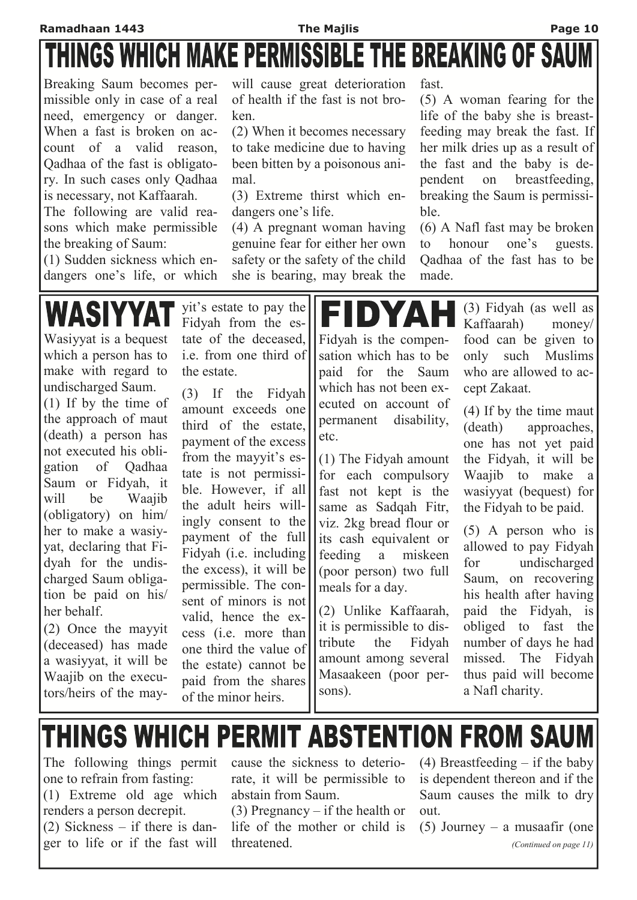# THINGS WHICH MAKE PERMISSIBLE THE BREAKING OF SAUM

Breaking Saum becomes permissible only in case of a real need, emergency or danger. When a fast is broken on account of a valid reason, Qadhaa of the fast is obligatory. In such cases only Qadhaa is necessary, not Kaffaarah.

The following are valid reasons which make permissible the breaking of Saum:

(1) Sudden sickness which endangers one's life, or which will cause great deterioration of health if the fast is not broken.

(2) When it becomes necessary to take medicine due to having been bitten by a poisonous animal.

(3) Extreme thirst which endangers one's life.

(4) A pregnant woman having genuine fear for either her own safety or the safety of the child she is bearing, may break the

fast.

(5) A woman fearing for the life of the baby she is breastfeeding may break the fast. If her milk dries up as a result of the fast and the baby is dependent on breastfeeding, breaking the Saum is permissible.

(6) A Nafl fast may be broken to honour one's guests. Qadhaa of the fast has to be made.

**WASIYYA** Wasiyyat is a bequest which a person has to make with regard to undischarged Saum. (1) If by the time of the approach of maut (death) a person has not executed his obligation of Qadhaa Saum or Fidyah, it will be Waajib (obligatory) on him/ her to make a wasiyyat, declaring that Fidyah for the undischarged Saum obligation be paid on his/ her behalf.

(2) Once the mayyit (deceased) has made a wasiyyat, it will be Waajib on the executors/heirs of the mayyit's estate to pay the Fidyah from the estate of the deceased, i.e. from one third of the estate.

(3) If the Fidyah amount exceeds one third of the estate, payment of the excess from the mayyit's estate is not permissible. However, if all the adult heirs willingly consent to the payment of the full Fidyah (i.e. including the excess), it will be permissible. The consent of minors is not valid, hence the excess (i.e. more than one third the value of the estate) cannot be paid from the shares of the minor heirs.



(1) The Fidyah amount for each compulsory fast not kept is the same as Sadqah Fitr, viz. 2kg bread flour or its cash equivalent or feeding a miskeen (poor person) two full meals for a day.

(2) Unlike Kaffaarah, it is permissible to distribute the Fidyah amount among several Masaakeen (poor persons).

(3) Fidyah (as well as Kaffaarah) money/ food can be given to only such Muslims who are allowed to accept Zakaat.

(4) If by the time maut (death) approaches, one has not yet paid the Fidyah, it will be Waajib to make a wasiyyat (bequest) for the Fidyah to be paid.

(5) A person who is allowed to pay Fidyah for undischarged Saum, on recovering his health after having paid the Fidyah, is obliged to fast the number of days he had missed. The Fidyah thus paid will become a Nafl charity.

## THINGS WHICH PERMIT ABSTENTION FROM SAUM

The following things permit one to refrain from fasting: (1) Extreme old age which renders a person decrepit. (2) Sickness – if there is danger to life or if the fast will

cause the sickness to deteriorate, it will be permissible to abstain from Saum.

(3) Pregnancy – if the health or life of the mother or child is threatened.

(4) Breastfeeding  $-$  if the baby is dependent thereon and if the Saum causes the milk to dry out.

(5) Journey – a musaafir (one *(Continued on page 11)*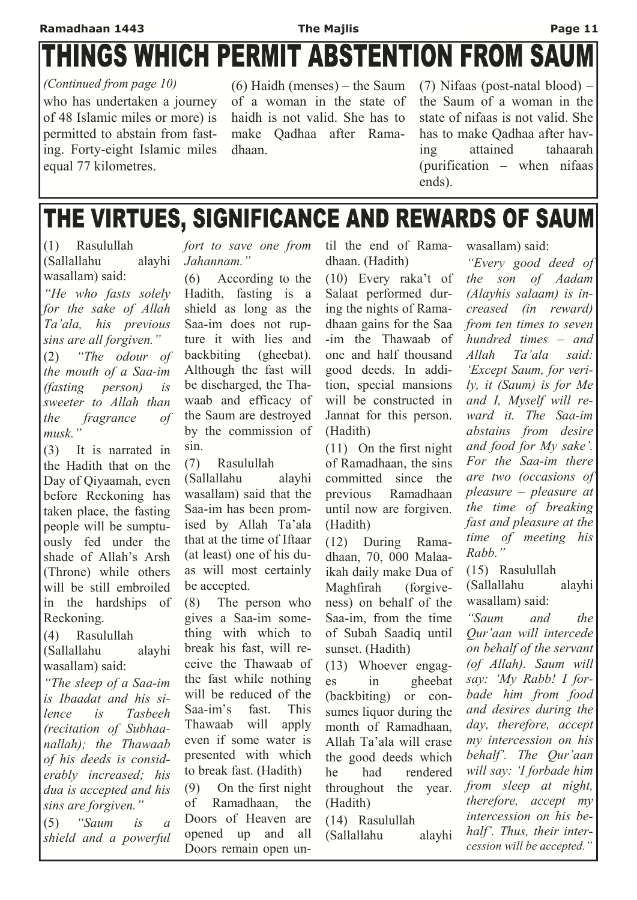## **THINGS WHICH PERMIT ABSTENTION FROM SAUM**

who has undertaken a journey of 48 Islamic miles or more) is permitted to abstain from fasting. Forty-eight Islamic miles equal 77 kilometres. *(Continued from page 10)* 

(6) Haidh (menses) – the Saum of a woman in the state of haidh is not valid. She has to make Qadhaa after Ramadhaan.

(7) Nifaas (post-natal blood) – the Saum of a woman in the state of nifaas is not valid. She has to make Qadhaa after having attained tahaarah (purification – when nifaas ends).

## THE VIRTUES, SIGNIFICANCE AND REWARDS OF SAUM

(1) Rasulullah (Sallallahu alayhi wasallam) said:

*"He who fasts solely for the sake of Allah Ta'ala, his previous sins are all forgiven."*

(2) *"The odour of the mouth of a Saa-im (fasting person) is sweeter to Allah than the fragrance of musk."*

(3) It is narrated in the Hadith that on the Day of Qiyaamah, even before Reckoning has taken place, the fasting people will be sumptuously fed under the shade of Allah's Arsh (Throne) while others will be still embroiled in the hardships of Reckoning.

(4) Rasulullah

(Sallallahu alayhi wasallam) said:

*"The sleep of a Saa-im is Ibaadat and his silence is Tasbeeh (recitation of Subhaanallah); the Thawaab of his deeds is considerably increased; his dua is accepted and his sins are forgiven."* 

(5) *"Saum is a shield and a powerful*  *fort to save one from Jahannam."*

(6) According to the Hadith, fasting is a shield as long as the Saa-im does not rupture it with lies and backbiting (gheebat). Although the fast will be discharged, the Thawaab and efficacy of the Saum are destroyed by the commission of sin.

(7) Rasulullah

(Sallallahu alayhi wasallam) said that the Saa-im has been promised by Allah Ta'ala that at the time of Iftaar (at least) one of his duas will most certainly be accepted.

(8) The person who gives a Saa-im something with which to break his fast, will receive the Thawaab of the fast while nothing will be reduced of the Saa-im's fast. This Thawaab will apply even if some water is presented with which to break fast. (Hadith) (9) On the first night of Ramadhaan, the Doors of Heaven are opened up and all Doors remain open until the end of Ramadhaan. (Hadith)

(10) Every raka't of Salaat performed during the nights of Ramadhaan gains for the Saa -im the Thawaab of one and half thousand good deeds. In addition, special mansions will be constructed in Jannat for this person. (Hadith)

(11) On the first night of Ramadhaan, the sins committed since the previous Ramadhaan until now are forgiven. (Hadith)

(12) During Ramadhaan, 70, 000 Malaaikah daily make Dua of Maghfirah (forgiveness) on behalf of the Saa-im, from the time of Subah Saadiq until sunset. (Hadith)

(13) Whoever engages in gheebat (backbiting) or consumes liquor during the month of Ramadhaan, Allah Ta'ala will erase the good deeds which he had rendered throughout the year. (Hadith)

(14) Rasulullah

(Sallallahu alayhi

wasallam) said:

*"Every good deed of the son of Aadam (Alayhis salaam) is increased (in reward) from ten times to seven hundred times – and Allah Ta'ala said: 'Except Saum, for verily, it (Saum) is for Me and I, Myself will reward it. The Saa-im abstains from desire and food for My sake'. For the Saa-im there are two (occasions of pleasure – pleasure at the time of breaking fast and pleasure at the time of meeting his Rabb."*

(15) Rasulullah (Sallallahu alayhi wasallam) said:

*"Saum and the Qur'aan will intercede on behalf of the servant (of Allah). Saum will say: 'My Rabb! I forbade him from food and desires during the day, therefore, accept my intercession on his behalf'. The Qur'aan will say: 'I forbade him from sleep at night, therefore, accept my intercession on his behalf'. Thus, their intercession will be accepted."*